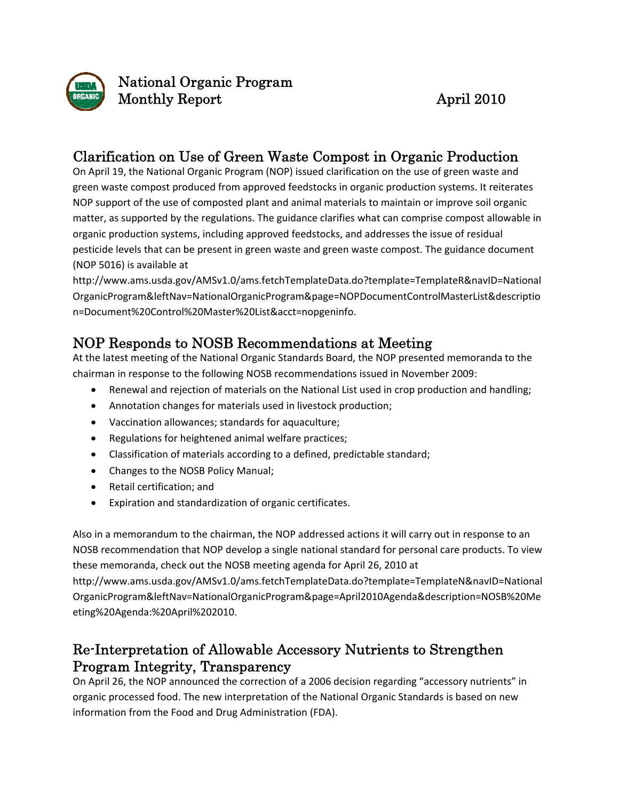

National Organic Program Monthly Report April 2010

### Clarification on Use of Green Waste Compost in Organic Production

On April 19, the National Organic Program (NOP) issued clarification on the use of green waste and green waste compost produced from approved feedstocks in organic production systems. It reiterates NOP support of the use of composted plant and animal materials to maintain or improve soil organic matter, as supported by the regulations. The guidance clarifies what can comprise compost allowable in organic production systems, including approved feedstocks, and addresses the issue of residual pesticide levels that can be present in green waste and green waste compost. The guidance document (NOP 5016) is available at

http://www.ams.usda.gov/AMSv1.0/ams.fetchTemplateData.do?template=TemplateR&navID=National OrganicProgram&leftNav=NationalOrganicProgram&page=NOPDocumentControlMasterList&descriptio n=Document%20Control%20Master%20List&acct=nopgeninfo.

## NOP Responds to NOSB Recommendations at Meeting

At the latest meeting of the National Organic Standards Board, the NOP presented memoranda to the chairman in response to the following NOSB recommendations issued in November 2009:

- Renewal and rejection of materials on the National List used in crop production and handling;
- Annotation changes for materials used in livestock production;
- Vaccination allowances; standards for aquaculture;
- Regulations for heightened animal welfare practices;
- Classification of materials according to a defined, predictable standard;
- Changes to the NOSB Policy Manual;
- Retail certification; and
- Expiration and standardization of organic certificates.

Also in a memorandum to the chairman, the NOP addressed actions it will carry out in response to an NOSB recommendation that NOP develop a single national standard for personal care products. To view these memoranda, check out the NOSB meeting agenda for April 26, 2010 at

http://www.ams.usda.gov/AMSv1.0/ams.fetchTemplateData.do?template=TemplateN&navID=National OrganicProgram&leftNav=NationalOrganicProgram&page=April2010Agenda&description=NOSB%20Me eting%20Agenda:%20April%202010.

# Re-Interpretation of Allowable Accessory Nutrients to Strengthen Program Integrity, Transparency

On April 26, the NOP announced the correction of a 2006 decision regarding "accessory nutrients" in organic processed food. The new interpretation of the National Organic Standards is based on new information from the Food and Drug Administration (FDA).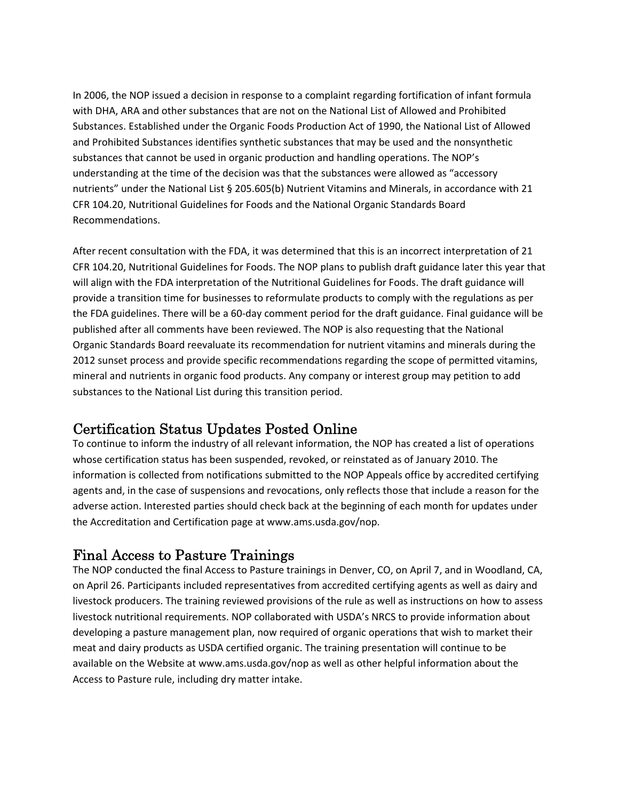In 2006, the NOP issued a decision in response to a complaint regarding fortification of infant formula with DHA, ARA and other substances that are not on the National List of Allowed and Prohibited Substances. Established under the Organic Foods Production Act of 1990, the National List of Allowed and Prohibited Substances identifies synthetic substances that may be used and the nonsynthetic substances that cannot be used in organic production and handling operations. The NOP's understanding at the time of the decision was that the substances were allowed as "accessory nutrients" under the National List § 205.605(b) Nutrient Vitamins and Minerals, in accordance with 21 CFR 104.20, Nutritional Guidelines for Foods and the National Organic Standards Board Recommendations.

After recent consultation with the FDA, it was determined that this is an incorrect interpretation of 21 CFR 104.20, Nutritional Guidelines for Foods. The NOP plans to publish draft guidance later this year that will align with the FDA interpretation of the Nutritional Guidelines for Foods. The draft guidance will provide a transition time for businesses to reformulate products to comply with the regulations as per the FDA guidelines. There will be a 60‐day comment period for the draft guidance. Final guidance will be published after all comments have been reviewed. The NOP is also requesting that the National Organic Standards Board reevaluate its recommendation for nutrient vitamins and minerals during the 2012 sunset process and provide specific recommendations regarding the scope of permitted vitamins, mineral and nutrients in organic food products. Any company or interest group may petition to add substances to the National List during this transition period.

#### Certification Status Updates Posted Online

To continue to inform the industry of all relevant information, the NOP has created a list of operations whose certification status has been suspended, revoked, or reinstated as of January 2010. The information is collected from notifications submitted to the NOP Appeals office by accredited certifying agents and, in the case of suspensions and revocations, only reflects those that include a reason for the adverse action. Interested parties should check back at the beginning of each month for updates under the Accreditation and Certification page at www.ams.usda.gov/nop.

#### Final Access to Pasture Trainings

The NOP conducted the final Access to Pasture trainings in Denver, CO, on April 7, and in Woodland, CA, on April 26. Participants included representatives from accredited certifying agents as well as dairy and livestock producers. The training reviewed provisions of the rule as well as instructions on how to assess livestock nutritional requirements. NOP collaborated with USDA's NRCS to provide information about developing a pasture management plan, now required of organic operations that wish to market their meat and dairy products as USDA certified organic. The training presentation will continue to be available on the Website at www.ams.usda.gov/nop as well as other helpful information about the Access to Pasture rule, including dry matter intake.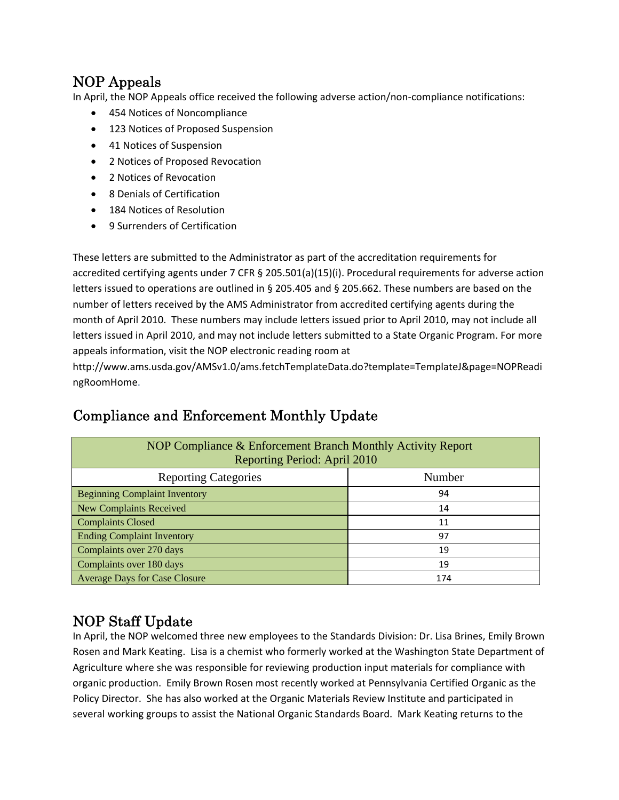## NOP Appeals

In April, the NOP Appeals office received the following adverse action/non‐compliance notifications:

- 454 Notices of Noncompliance
- 123 Notices of Proposed Suspension
- 41 Notices of Suspension
- 2 Notices of Proposed Revocation
- 2 Notices of Revocation
- 8 Denials of Certification
- 184 Notices of Resolution
- 9 Surrenders of Certification

These letters are submitted to the Administrator as part of the accreditation requirements for accredited certifying agents under 7 CFR § 205.501(a)(15)(i). Procedural requirements for adverse action letters issued to operations are outlined in § 205.405 and § 205.662. These numbers are based on the number of letters received by the AMS Administrator from accredited certifying agents during the month of April 2010. These numbers may include letters issued prior to April 2010, may not include all letters issued in April 2010, and may not include letters submitted to a State Organic Program. For more appeals information, visit the NOP electronic reading room at

http://www.ams.usda.gov/AMSv1.0/ams.fetchTemplateData.do?template=TemplateJ&page=NOPReadi ngRoomHome.

| NOP Compliance & Enforcement Branch Monthly Activity Report<br>Reporting Period: April 2010 |        |
|---------------------------------------------------------------------------------------------|--------|
| <b>Reporting Categories</b>                                                                 | Number |
| <b>Beginning Complaint Inventory</b>                                                        | 94     |
| New Complaints Received                                                                     | 14     |
| Complaints Closed                                                                           | 11     |
| <b>Ending Complaint Inventory</b>                                                           | 97     |
| Complaints over 270 days                                                                    | 19     |
| Complaints over 180 days                                                                    | 19     |
| <b>Average Days for Case Closure</b>                                                        | 174    |

# Compliance and Enforcement Monthly Update

# NOP Staff Update

In April, the NOP welcomed three new employees to the Standards Division: Dr. Lisa Brines, Emily Brown Rosen and Mark Keating. Lisa is a chemist who formerly worked at the Washington State Department of Agriculture where she was responsible for reviewing production input materials for compliance with organic production. Emily Brown Rosen most recently worked at Pennsylvania Certified Organic as the Policy Director. She has also worked at the Organic Materials Review Institute and participated in several working groups to assist the National Organic Standards Board. Mark Keating returns to the